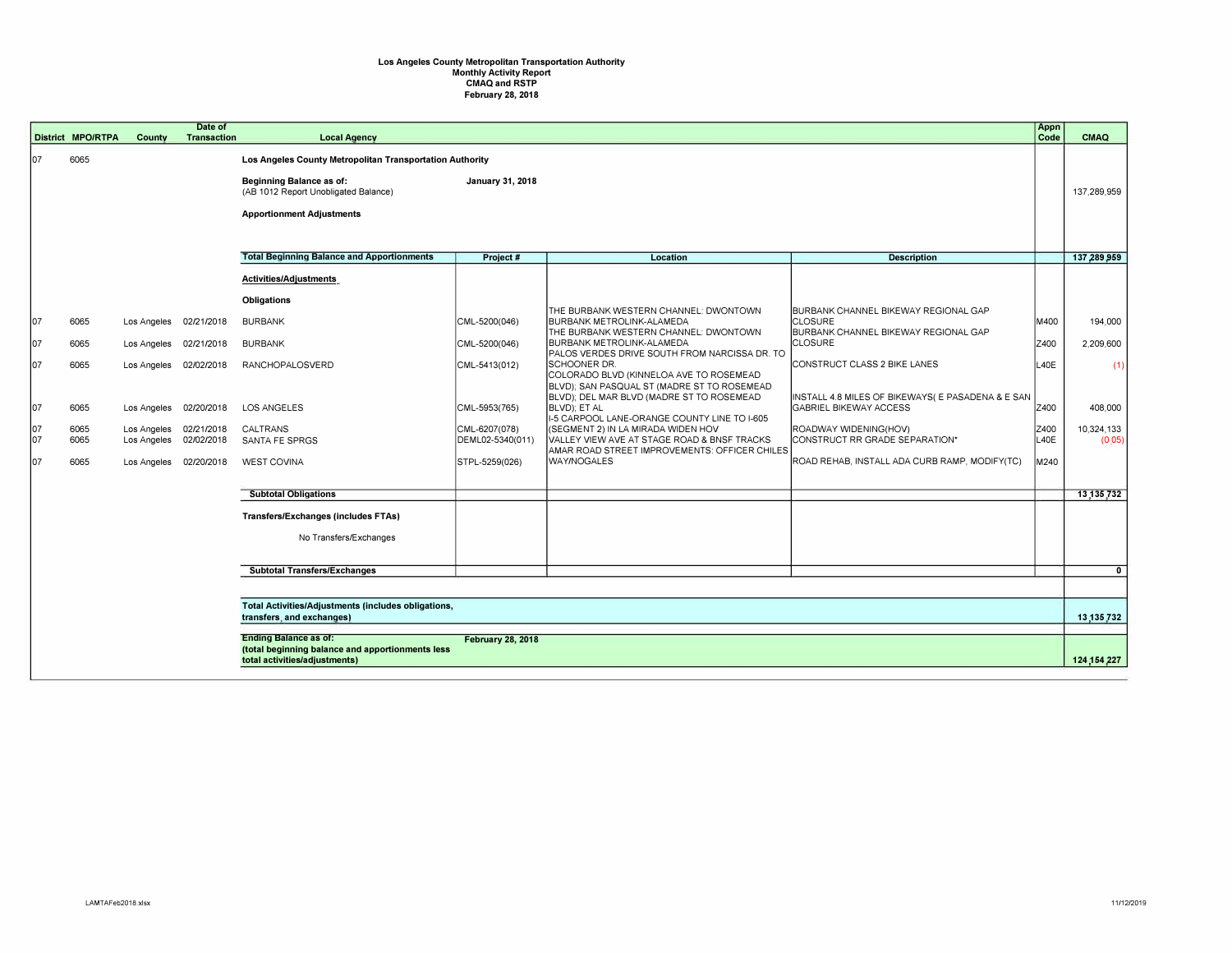## **Los Angeles County Metropolitan Transportation Authority Monthly Activity Report CMAQ and RSTP February 28, 2018**

|            |                                                                                                              |                            | Date of                  |                                                          |                                   |                                                                                   |                                                                                    | Appn         |                      |
|------------|--------------------------------------------------------------------------------------------------------------|----------------------------|--------------------------|----------------------------------------------------------|-----------------------------------|-----------------------------------------------------------------------------------|------------------------------------------------------------------------------------|--------------|----------------------|
|            | <b>District MPO/RTPA</b>                                                                                     | County                     | <b>Transaction</b>       | <b>Local Agency</b>                                      |                                   |                                                                                   |                                                                                    | Code         | <b>CMAQ</b>          |
| 107        | 6065                                                                                                         |                            |                          | Los Angeles County Metropolitan Transportation Authority |                                   |                                                                                   |                                                                                    |              |                      |
|            |                                                                                                              |                            |                          | Beginning Balance as of:                                 | January 31, 2018                  |                                                                                   |                                                                                    |              |                      |
|            |                                                                                                              |                            |                          | (AB 1012 Report Unobligated Balance)                     |                                   |                                                                                   |                                                                                    |              | 137.289.959          |
|            |                                                                                                              |                            |                          | <b>Apportionment Adjustments</b>                         |                                   |                                                                                   |                                                                                    |              |                      |
|            |                                                                                                              |                            |                          |                                                          |                                   |                                                                                   |                                                                                    |              |                      |
|            |                                                                                                              |                            |                          |                                                          |                                   |                                                                                   |                                                                                    |              |                      |
|            |                                                                                                              |                            |                          | <b>Total Beginning Balance and Apportionments</b>        | Project #                         | Location                                                                          | <b>Description</b>                                                                 |              | 137,289,959          |
|            |                                                                                                              |                            |                          | Activities/Adjustments                                   |                                   |                                                                                   |                                                                                    |              |                      |
|            |                                                                                                              |                            |                          | <b>Obligations</b>                                       |                                   |                                                                                   |                                                                                    |              |                      |
|            |                                                                                                              |                            |                          |                                                          |                                   | THE BURBANK WESTERN CHANNEL: DWONTOWN                                             | BURBANK CHANNEL BIKEWAY REGIONAL GAP                                               |              |                      |
| 107        | 6065                                                                                                         | Los Angeles                | 02/21/2018               | <b>BURBANK</b>                                           | CML-5200(046)                     | BURBANK METROLINK-ALAMEDA<br>THE BURBANK WESTERN CHANNEL: DWONTOWN                | <b>CLOSURE</b><br>BURBANK CHANNEL BIKEWAY REGIONAL GAP                             | M400         | 194,000              |
| 107        | 6065                                                                                                         | Los Angeles                | 02/21/2018               | <b>BURBANK</b>                                           | CML-5200(046)                     | <b>BURBANK METROLINK-ALAMEDA</b>                                                  | <b>CLOSURE</b>                                                                     | Z400         | 2,209,600            |
| 107        | 6065                                                                                                         | Los Angeles                | 02/02/2018               | <b>RANCHOPALOSVERD</b>                                   | CML-5413(012)                     | PALOS VERDES DRIVE SOUTH FROM NARCISSA DR. TO<br><b>SCHOONER DR.</b>              | CONSTRUCT CLASS 2 BIKE LANES                                                       | L40E         | (1)                  |
|            |                                                                                                              |                            |                          |                                                          |                                   | COLORADO BLVD (KINNELOA AVE TO ROSEMEAD                                           |                                                                                    |              |                      |
|            |                                                                                                              |                            |                          |                                                          |                                   | BLVD); SAN PASQUAL ST (MADRE ST TO ROSEMEAD                                       |                                                                                    |              |                      |
| 107        | 6065                                                                                                         | Los Angeles                | 02/20/2018               | <b>LOS ANGELES</b>                                       | CML-5953(765)                     | BLVD); DEL MAR BLVD (MADRE ST TO ROSEMEAD<br>BLVD); ET AL                         | INSTALL 4.8 MILES OF BIKEWAYS( E PASADENA & E SAN<br><b>GABRIEL BIKEWAY ACCESS</b> | Z400         | 408,000              |
|            |                                                                                                              |                            |                          |                                                          |                                   | I-5 CARPOOL LANE-ORANGE COUNTY LINE TO I-605                                      |                                                                                    |              |                      |
| 107<br>107 | 6065<br>6065                                                                                                 | Los Angeles<br>Los Angeles | 02/21/2018<br>02/02/2018 | CALTRANS<br>SANTA FE SPRGS                               | CML-6207(078)<br>DEML02-5340(011) | (SEGMENT 2) IN LA MIRADA WIDEN HOV<br>VALLEY VIEW AVE AT STAGE ROAD & BNSF TRACKS | ROADWAY WIDENING(HOV)<br>CONSTRUCT RR GRADE SEPARATION*                            | Z400<br>L40E | 10,324,133<br>(0.05) |
|            |                                                                                                              |                            |                          |                                                          |                                   | AMAR ROAD STREET IMPROVEMENTS: OFFICER CHILES                                     |                                                                                    |              |                      |
| 107        | 6065                                                                                                         | Los Angeles                | 02/20/2018               | <b>WEST COVINA</b>                                       | STPL-5259(026)                    | WAY/NOGALES                                                                       | ROAD REHAB, INSTALL ADA CURB RAMP, MODIFY(TC)                                      | M240         |                      |
|            |                                                                                                              |                            |                          |                                                          |                                   |                                                                                   |                                                                                    |              |                      |
|            |                                                                                                              |                            |                          | <b>Subtotal Obligations</b>                              |                                   |                                                                                   |                                                                                    |              | 13,135,732           |
|            |                                                                                                              |                            |                          | <b>Transfers/Exchanges (includes FTAs)</b>               |                                   |                                                                                   |                                                                                    |              |                      |
|            |                                                                                                              |                            |                          | No Transfers/Exchanges                                   |                                   |                                                                                   |                                                                                    |              |                      |
|            |                                                                                                              |                            |                          |                                                          |                                   |                                                                                   |                                                                                    |              |                      |
|            |                                                                                                              |                            |                          | <b>Subtotal Transfers/Exchanges</b>                      |                                   |                                                                                   |                                                                                    |              | $\mathbf{0}$         |
|            |                                                                                                              |                            |                          |                                                          |                                   |                                                                                   |                                                                                    |              |                      |
|            |                                                                                                              |                            |                          |                                                          |                                   |                                                                                   |                                                                                    |              |                      |
|            | <b>Total Activities/Adjustments (includes obligations,</b><br>transfers, and exchanges)                      |                            |                          |                                                          |                                   |                                                                                   |                                                                                    |              | 13,135,732           |
|            |                                                                                                              |                            |                          |                                                          |                                   |                                                                                   |                                                                                    |              |                      |
|            | <b>Ending Balance as of:</b><br><b>February 28, 2018</b><br>(total beginning balance and apportionments less |                            |                          |                                                          |                                   |                                                                                   |                                                                                    |              |                      |
|            | total activities/adjustments)                                                                                |                            |                          |                                                          |                                   |                                                                                   |                                                                                    |              | 124.154.227          |
|            |                                                                                                              |                            |                          |                                                          |                                   |                                                                                   |                                                                                    |              |                      |